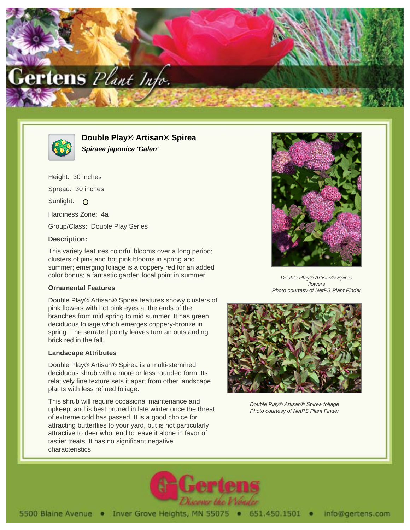



**Double Play® Artisan® Spirea Spiraea japonica 'Galen'**

Height: 30 inches Spread: 30 inches Sunlight: O Hardiness Zone: 4a Group/Class: Double Play Series

## **Description:**

This variety features colorful blooms over a long period; clusters of pink and hot pink blooms in spring and summer; emerging foliage is a coppery red for an added color bonus; a fantastic garden focal point in summer

## **Ornamental Features**

Double Play® Artisan® Spirea features showy clusters of pink flowers with hot pink eyes at the ends of the branches from mid spring to mid summer. It has green deciduous foliage which emerges coppery-bronze in spring. The serrated pointy leaves turn an outstanding brick red in the fall.

## **Landscape Attributes**

Double Play® Artisan® Spirea is a multi-stemmed deciduous shrub with a more or less rounded form. Its relatively fine texture sets it apart from other landscape plants with less refined foliage.

This shrub will require occasional maintenance and upkeep, and is best pruned in late winter once the threat of extreme cold has passed. It is a good choice for attracting butterflies to your yard, but is not particularly attractive to deer who tend to leave it alone in favor of tastier treats. It has no significant negative characteristics.



Double Play® Artisan® Spirea flowers Photo courtesy of NetPS Plant Finder



Double Play® Artisan® Spirea foliage Photo courtesy of NetPS Plant Finder